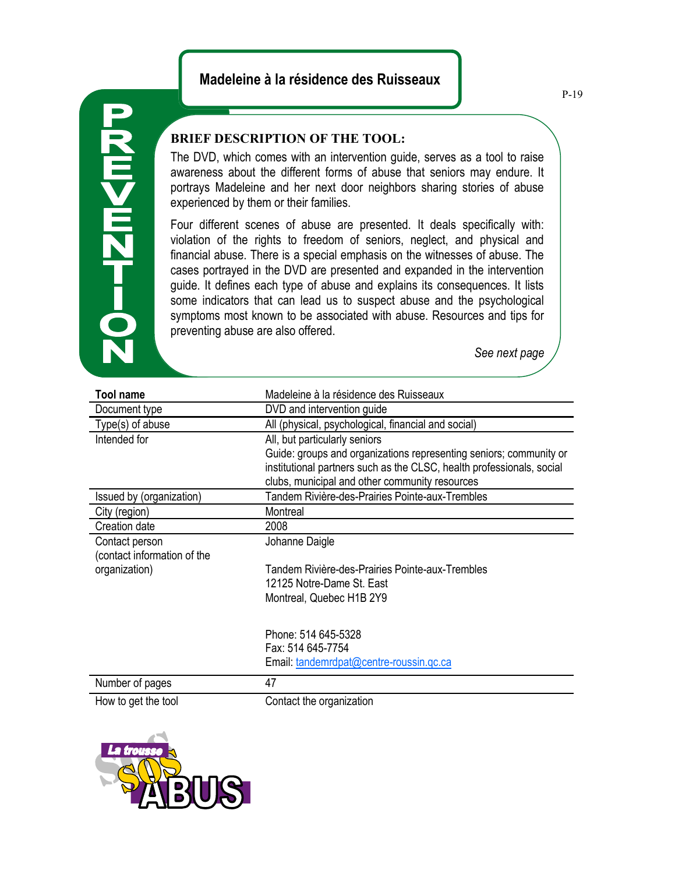## **Madeleine à la résidence des Ruisseaux**



## **BRIEF DESCRIPTION OF THE TOOL:**

The DVD, which comes with an intervention guide, serves as a tool to raise awareness about the different forms of abuse that seniors may endure. It portrays Madeleine and her next door neighbors sharing stories of abuse experienced by them or their families.

Four different scenes of abuse are presented. It deals specifically with: violation of the rights to freedom of seniors, neglect, and physical and financial abuse. There is a special emphasis on the witnesses of abuse. The cases portrayed in the DVD are presented and expanded in the intervention guide. It defines each type of abuse and explains its consequences. It lists some indicators that can lead us to suspect abuse and the psychological symptoms most known to be associated with abuse. Resources and tips for preventing abuse are also offered.

*See next page*

| <b>Tool name</b>            | Madeleine à la résidence des Ruisseaux                                |
|-----------------------------|-----------------------------------------------------------------------|
| Document type               | DVD and intervention guide                                            |
| Type(s) of abuse            | All (physical, psychological, financial and social)                   |
| Intended for                | All, but particularly seniors                                         |
|                             | Guide: groups and organizations representing seniors; community or    |
|                             | institutional partners such as the CLSC, health professionals, social |
|                             | clubs, municipal and other community resources                        |
| Issued by (organization)    | Tandem Rivière-des-Prairies Pointe-aux-Trembles                       |
| City (region)               | Montreal                                                              |
| Creation date               | 2008                                                                  |
| Contact person              | Johanne Daigle                                                        |
| (contact information of the |                                                                       |
| organization)               | Tandem Rivière-des-Prairies Pointe-aux-Trembles                       |
|                             | 12125 Notre-Dame St. East                                             |
|                             | Montreal, Quebec H1B 2Y9                                              |
|                             |                                                                       |
|                             | Phone: 514 645-5328                                                   |
|                             | Fax: 514 645-7754                                                     |
|                             | Email: tandemrdpat@centre-roussin.qc.ca                               |
|                             |                                                                       |
| Number of pages             | 47                                                                    |
| How to get the tool         | Contact the organization                                              |